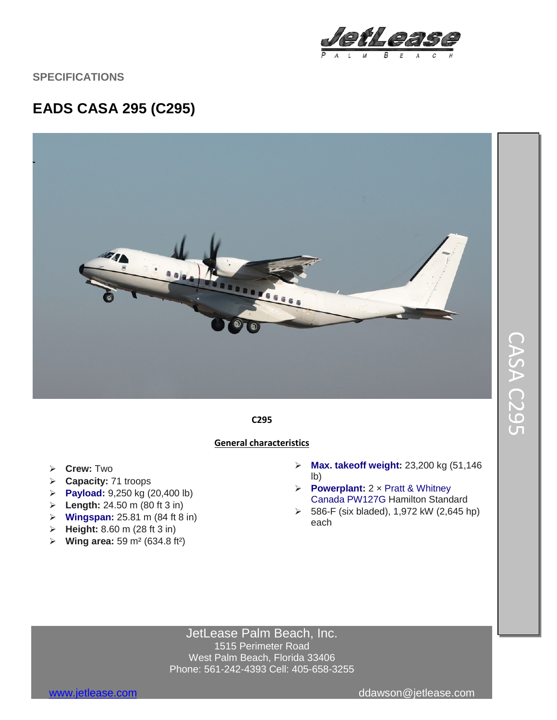

**SPECIFICATIONS**

## **EADS CASA 295 (C295)**



### **C295**

#### **General characteristics**

- **Crew:** Two
- **Capacity:** 71 troops
- **[Payload:](https://en.wikipedia.org/wiki/Payload)** 9,250 kg (20,400 lb)
- **Length:** 24.50 m (80 ft 3 in)
- **[Wingspan:](https://en.wikipedia.org/wiki/Wingspan)** 25.81 m (84 ft 8 in)
- **Height:** 8.60 m (28 ft 3 in)
- **Wing area:** 59 m² (634.8 ft²)
- **[Max. takeoff weight:](https://en.wikipedia.org/wiki/Maximum_takeoff_weight)** 23,200 kg (51,146 lb)
- **[Powerplant:](https://en.wikipedia.org/wiki/Aircraft_engine)** 2 × [Pratt & Whitney](https://en.wikipedia.org/wiki/Pratt_%26_Whitney_Canada)  [Canada](https://en.wikipedia.org/wiki/Pratt_%26_Whitney_Canada) [PW127G](https://en.wikipedia.org/wiki/Pratt_%26_Whitney_Canada_PW100) Hamilton Standard
- 586-F (six bladed), 1,972 kW (2,645 hp) each

JetLease Palm Beach, Inc. 1515 Perimeter Road West Palm Beach, Florida 33406 Phone: 561-242-4393 Cell: 405-658-3255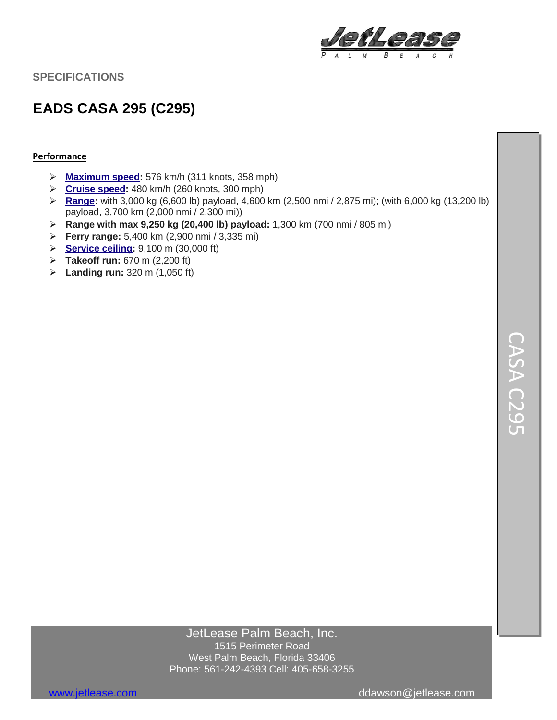

**SPECIFICATIONS**

# **EADS CASA 295 (C295)**

#### **Performance**

- **[Maximum speed:](https://en.wikipedia.org/wiki/V_speeds%23Regulatory_V-speeds)** 576 km/h (311 knots, 358 mph)
- **[Cruise speed:](https://en.wikipedia.org/wiki/V_speeds%23Vc)** 480 km/h (260 knots, 300 mph)
- **[Range:](https://en.wikipedia.org/wiki/Range_(aeronautics))** with 3,000 kg (6,600 lb) payload, 4,600 km (2,500 nmi / 2,875 mi); (with 6,000 kg (13,200 lb) payload, 3,700 km (2,000 nmi / 2,300 mi))
- **Range with max 9,250 kg (20,400 lb) payload:** 1,300 km (700 nmi / 805 mi)
- **Ferry range:** 5,400 km (2,900 nmi / 3,335 mi)
- **[Service ceiling:](https://en.wikipedia.org/wiki/Ceiling_(aeronautics))** 9,100 m (30,000 ft)
- **Takeoff run:** 670 m (2,200 ft)
- **Landing run:** 320 m (1,050 ft)

### JetLease Palm Beach, Inc. 1515 Perimeter Road West Palm Beach, Florida 33406 Phone: 561-242-4393 Cell: 405-658-3255

[www.jetlease.com](http://www.jetlease.com/) ddawson@jetlease.com